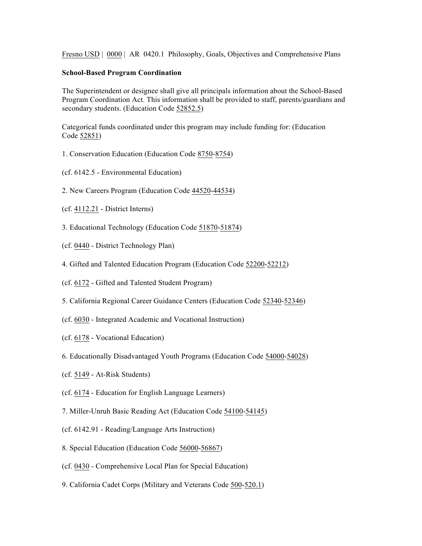Fresno USD | 0000 | AR 0420.1 Philosophy, Goals, Objectives and Comprehensive Plans

## **School-Based Program Coordination**

The Superintendent or designee shall give all principals information about the School-Based Program Coordination Act. This information shall be provided to staff, parents/guardians and secondary students. (Education Code 52852.5)

Categorical funds coordinated under this program may include funding for: (Education Code 52851)

- 1. Conservation Education (Education Code 8750-8754)
- (cf. 6142.5 Environmental Education)
- 2. New Careers Program (Education Code 44520-44534)
- (cf. 4112.21 District Interns)
- 3. Educational Technology (Education Code 51870-51874)
- (cf. 0440 District Technology Plan)
- 4. Gifted and Talented Education Program (Education Code 52200-52212)
- (cf. 6172 Gifted and Talented Student Program)
- 5. California Regional Career Guidance Centers (Education Code 52340-52346)
- (cf. 6030 Integrated Academic and Vocational Instruction)
- (cf. 6178 Vocational Education)
- 6. Educationally Disadvantaged Youth Programs (Education Code 54000-54028)
- (cf. 5149 At-Risk Students)
- (cf. 6174 Education for English Language Learners)
- 7. Miller-Unruh Basic Reading Act (Education Code 54100-54145)
- (cf. 6142.91 Reading/Language Arts Instruction)
- 8. Special Education (Education Code 56000-56867)
- (cf. 0430 Comprehensive Local Plan for Special Education)
- 9. California Cadet Corps (Military and Veterans Code 500-520.1)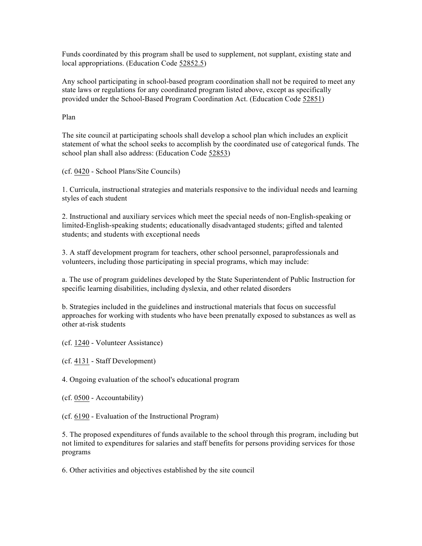Funds coordinated by this program shall be used to supplement, not supplant, existing state and local appropriations. (Education Code 52852.5)

Any school participating in school-based program coordination shall not be required to meet any state laws or regulations for any coordinated program listed above, except as specifically provided under the School-Based Program Coordination Act. (Education Code 52851)

Plan

The site council at participating schools shall develop a school plan which includes an explicit statement of what the school seeks to accomplish by the coordinated use of categorical funds. The school plan shall also address: (Education Code 52853)

(cf. 0420 - School Plans/Site Councils)

1. Curricula, instructional strategies and materials responsive to the individual needs and learning styles of each student

2. Instructional and auxiliary services which meet the special needs of non-English-speaking or limited-English-speaking students; educationally disadvantaged students; gifted and talented students; and students with exceptional needs

3. A staff development program for teachers, other school personnel, paraprofessionals and volunteers, including those participating in special programs, which may include:

a. The use of program guidelines developed by the State Superintendent of Public Instruction for specific learning disabilities, including dyslexia, and other related disorders

b. Strategies included in the guidelines and instructional materials that focus on successful approaches for working with students who have been prenatally exposed to substances as well as other at-risk students

(cf. 1240 - Volunteer Assistance)

(cf. 4131 - Staff Development)

4. Ongoing evaluation of the school's educational program

(cf. 0500 - Accountability)

(cf. 6190 - Evaluation of the Instructional Program)

5. The proposed expenditures of funds available to the school through this program, including but not limited to expenditures for salaries and staff benefits for persons providing services for those programs

6. Other activities and objectives established by the site council